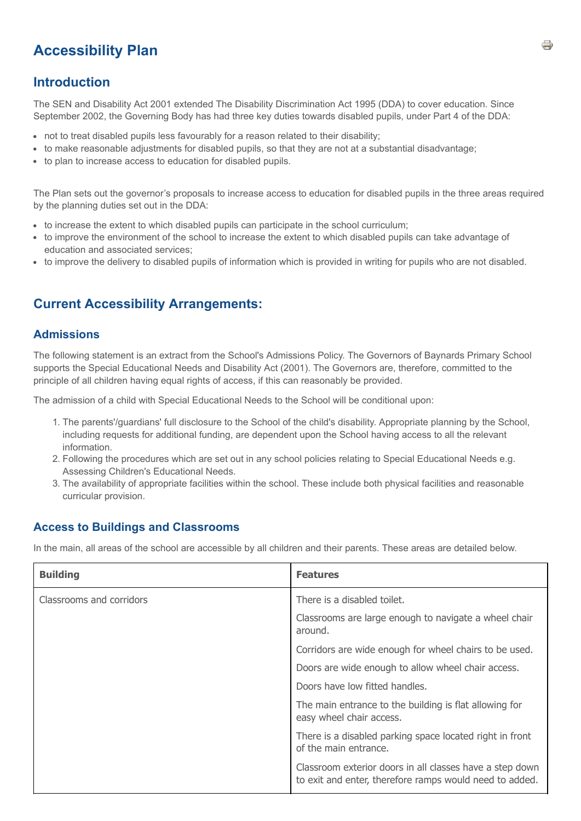# **Accessibility Plan**

### **Introduction**

The SEN and Disability Act 2001 extended The Disability Discrimination Act 1995 (DDA) to cover education. Since September 2002, the Governing Body has had three key duties towards disabled pupils, under Part 4 of the DDA:

- not to treat disabled pupils less favourably for a reason related to their disability;
- to make reasonable adjustments for disabled pupils, so that they are not at a substantial disadvantage;
- to plan to increase access to education for disabled pupils.

The Plan sets out the governor's proposals to increase access to education for disabled pupils in the three areas required by the planning duties set out in the DDA:

- to increase the extent to which disabled pupils can participate in the school curriculum;
- to improve the environment of the school to increase the extent to which disabled pupils can take advantage of education and associated services;
- to improve the delivery to disabled pupils of information which is provided in writing for pupils who are not disabled.

## **Current Accessibility Arrangements:**

#### **Admissions**

The following statement is an extract from the School's Admissions Policy. The Governors of Baynards Primary School supports the Special Educational Needs and Disability Act (2001). The Governors are, therefore, committed to the principle of all children having equal rights of access, if this can reasonably be provided.

The admission of a child with Special Educational Needs to the School will be conditional upon:

- 1. The parents'/guardians' full disclosure to the School of the child's disability. Appropriate planning by the School, including requests for additional funding, are dependent upon the School having access to all the relevant information.
- 2. Following the procedures which are set out in any school policies relating to Special Educational Needs e.g. Assessing Children's Educational Needs.
- 3. The availability of appropriate facilities within the school. These include both physical facilities and reasonable curricular provision.

#### **Access to Buildings and Classrooms**

In the main, all areas of the school are accessible by all children and their parents. These areas are detailed below.

| <b>Building</b>          | <b>Features</b>                                                                                                     |  |  |
|--------------------------|---------------------------------------------------------------------------------------------------------------------|--|--|
| Classrooms and corridors | There is a disabled toilet.                                                                                         |  |  |
|                          | Classrooms are large enough to navigate a wheel chair<br>around.                                                    |  |  |
|                          | Corridors are wide enough for wheel chairs to be used.                                                              |  |  |
|                          | Doors are wide enough to allow wheel chair access.                                                                  |  |  |
|                          | Doors have low fitted handles.                                                                                      |  |  |
|                          | The main entrance to the building is flat allowing for<br>easy wheel chair access.                                  |  |  |
|                          | There is a disabled parking space located right in front<br>of the main entrance.                                   |  |  |
|                          | Classroom exterior doors in all classes have a step down<br>to exit and enter, therefore ramps would need to added. |  |  |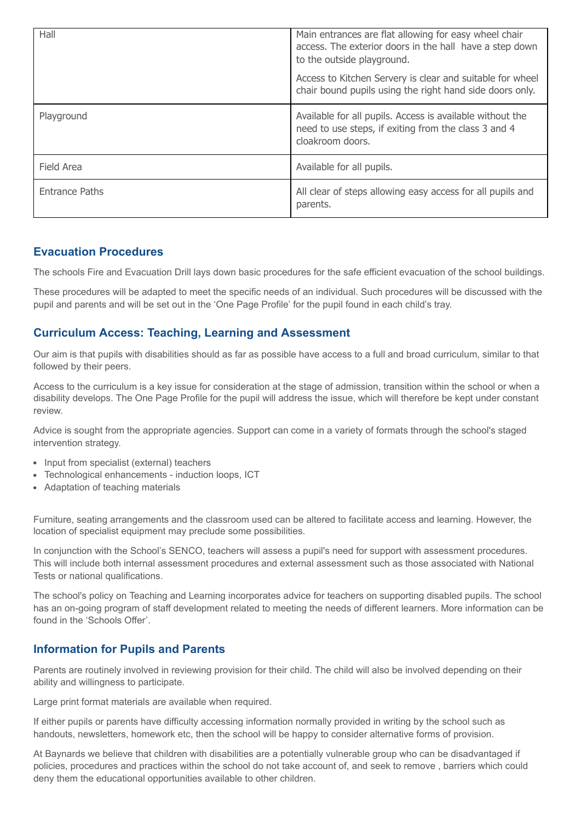| Hall                  | Main entrances are flat allowing for easy wheel chair<br>access. The exterior doors in the hall have a step down<br>to the outside playground. |  |
|-----------------------|------------------------------------------------------------------------------------------------------------------------------------------------|--|
|                       | Access to Kitchen Servery is clear and suitable for wheel<br>chair bound pupils using the right hand side doors only.                          |  |
| Playground            | Available for all pupils. Access is available without the<br>need to use steps, if exiting from the class 3 and 4<br>cloakroom doors.          |  |
| Field Area            | Available for all pupils.                                                                                                                      |  |
| <b>Entrance Paths</b> | All clear of steps allowing easy access for all pupils and<br>parents.                                                                         |  |

#### **Evacuation Procedures**

The schools Fire and Evacuation Drill lays down basic procedures for the safe efficient evacuation of the school buildings.

These procedures will be adapted to meet the specific needs of an individual. Such procedures will be discussed with the pupil and parents and will be set out in the 'One Page Profile' for the pupil found in each child's tray.

#### **Curriculum Access: Teaching, Learning and Assessment**

Our aim is that pupils with disabilities should as far as possible have access to a full and broad curriculum, similar to that followed by their peers.

Access to the curriculum is a key issue for consideration at the stage of admission, transition within the school or when a disability develops. The One Page Profile for the pupil will address the issue, which will therefore be kept under constant review.

Advice is sought from the appropriate agencies. Support can come in a variety of formats through the school's staged intervention strategy.

- Input from specialist (external) teachers
- Technological enhancements induction loops, ICT
- Adaptation of teaching materials

Furniture, seating arrangements and the classroom used can be altered to facilitate access and learning. However, the location of specialist equipment may preclude some possibilities.

In conjunction with the School's SENCO, teachers will assess a pupil's need for support with assessment procedures. This will include both internal assessment procedures and external assessment such as those associated with National Tests or national qualifications.

The school's policy on Teaching and Learning incorporates advice for teachers on supporting disabled pupils. The school has an on-going program of staff development related to meeting the needs of different learners. More information can be found in the 'Schools Offer'.

### **Information for Pupils and Parents**

Parents are routinely involved in reviewing provision for their child. The child will also be involved depending on their ability and willingness to participate.

Large print format materials are available when required.

If either pupils or parents have difficulty accessing information normally provided in writing by the school such as handouts, newsletters, homework etc, then the school will be happy to consider alternative forms of provision.

At Baynards we believe that children with disabilities are a potentially vulnerable group who can be disadvantaged if policies, procedures and practices within the school do not take account of, and seek to remove , barriers which could deny them the educational opportunities available to other children.